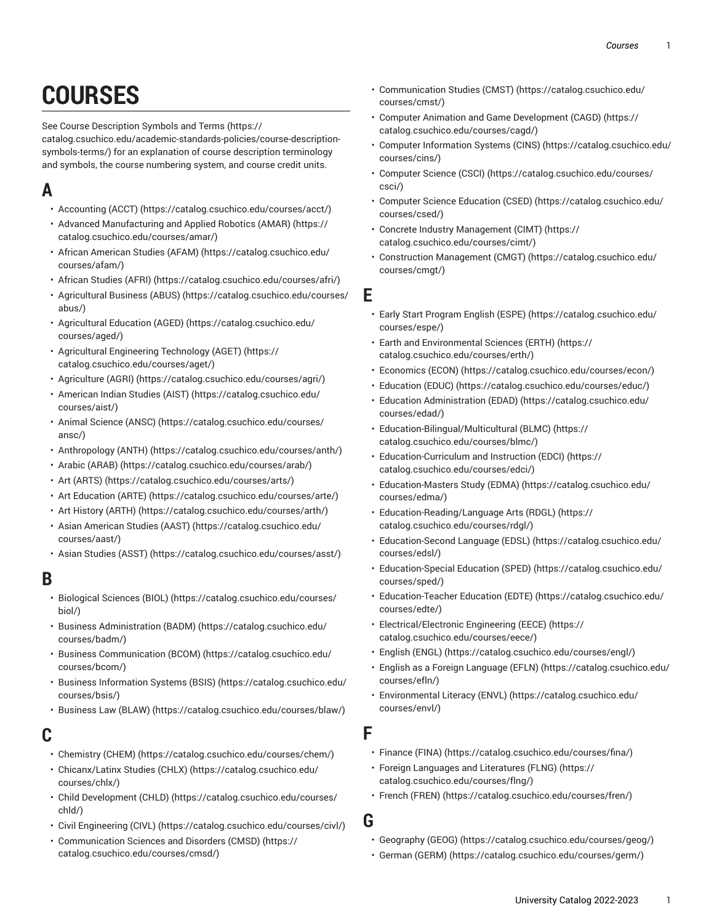# **COURSES**

See Course [Description](https://catalog.csuchico.edu/academic-standards-policies/course-description-symbols-terms/) Symbols and Terms ([https://](https://catalog.csuchico.edu/academic-standards-policies/course-description-symbols-terms/)

[catalog.csuchico.edu/academic-standards-policies/course-description](https://catalog.csuchico.edu/academic-standards-policies/course-description-symbols-terms/)[symbols-terms/\)](https://catalog.csuchico.edu/academic-standards-policies/course-description-symbols-terms/) for an explanation of course description terminology and symbols, the course numbering system, and course credit units.

# **A**

- [Accounting](https://catalog.csuchico.edu/courses/acct/) (ACCT) ([https://catalog.csuchico.edu/courses/acct/\)](https://catalog.csuchico.edu/courses/acct/)
- Advanced [Manufacturing](https://catalog.csuchico.edu/courses/amar/) and Applied Robotics (AMAR) ([https://](https://catalog.csuchico.edu/courses/amar/) [catalog.csuchico.edu/courses/amar/](https://catalog.csuchico.edu/courses/amar/))
- African [American](https://catalog.csuchico.edu/courses/afam/) Studies (AFAM) [\(https://catalog.csuchico.edu/](https://catalog.csuchico.edu/courses/afam/) [courses/afam/\)](https://catalog.csuchico.edu/courses/afam/)
- [African Studies \(AFRI\) \(https://catalog.csuchico.edu/courses/afri/](https://catalog.csuchico.edu/courses/afri/))
- [Agricultural Business \(ABUS\) \(https://catalog.csuchico.edu/courses/](https://catalog.csuchico.edu/courses/abus/) [abus/\)](https://catalog.csuchico.edu/courses/abus/)
- [Agricultural](https://catalog.csuchico.edu/courses/aged/) Education (AGED) [\(https://catalog.csuchico.edu/](https://catalog.csuchico.edu/courses/aged/) [courses/aged/\)](https://catalog.csuchico.edu/courses/aged/)
- Agricultural [Engineering](https://catalog.csuchico.edu/courses/aget/) Technology (AGET) ([https://](https://catalog.csuchico.edu/courses/aget/) [catalog.csuchico.edu/courses/aget/\)](https://catalog.csuchico.edu/courses/aget/)
- [Agriculture](https://catalog.csuchico.edu/courses/agri/) (AGRI) (<https://catalog.csuchico.edu/courses/agri/>)
- [American Indian Studies \(AIST\)](https://catalog.csuchico.edu/courses/aist/) ([https://catalog.csuchico.edu/](https://catalog.csuchico.edu/courses/aist/) [courses/aist/\)](https://catalog.csuchico.edu/courses/aist/)
- Animal [Science](https://catalog.csuchico.edu/courses/ansc/) (ANSC) [\(https://catalog.csuchico.edu/courses/](https://catalog.csuchico.edu/courses/ansc/) [ansc/\)](https://catalog.csuchico.edu/courses/ansc/)
- [Anthropology](https://catalog.csuchico.edu/courses/anth/) (ANTH) ([https://catalog.csuchico.edu/courses/anth/\)](https://catalog.csuchico.edu/courses/anth/)
- [Arabic \(ARAB\)](https://catalog.csuchico.edu/courses/arab/) ([https://catalog.csuchico.edu/courses/arab/\)](https://catalog.csuchico.edu/courses/arab/)
- Art [\(ARTS\)](https://catalog.csuchico.edu/courses/arts/) ([https://catalog.csuchico.edu/courses/arts/\)](https://catalog.csuchico.edu/courses/arts/)
- Art [Education](https://catalog.csuchico.edu/courses/arte/) (ARTE) [\(https://catalog.csuchico.edu/courses/arte/\)](https://catalog.csuchico.edu/courses/arte/)
- Art History [\(ARTH\) \(https://catalog.csuchico.edu/courses/arth/\)](https://catalog.csuchico.edu/courses/arth/)
- [Asian American Studies \(AAST\)](https://catalog.csuchico.edu/courses/aast/) ([https://catalog.csuchico.edu/](https://catalog.csuchico.edu/courses/aast/) [courses/aast/](https://catalog.csuchico.edu/courses/aast/))
- [Asian Studies \(ASST\) \(https://catalog.csuchico.edu/courses/asst/\)](https://catalog.csuchico.edu/courses/asst/)

#### **B**

- [Biological Sciences \(BIOL\)](https://catalog.csuchico.edu/courses/biol/) [\(https://catalog.csuchico.edu/courses/](https://catalog.csuchico.edu/courses/biol/) [biol/](https://catalog.csuchico.edu/courses/biol/))
- [Business Administration \(BADM\)](https://catalog.csuchico.edu/courses/badm/) ([https://catalog.csuchico.edu/](https://catalog.csuchico.edu/courses/badm/) [courses/badm/\)](https://catalog.csuchico.edu/courses/badm/)
- [Business Communication \(BCOM\)](https://catalog.csuchico.edu/courses/bcom/) ([https://catalog.csuchico.edu/](https://catalog.csuchico.edu/courses/bcom/) [courses/bcom/\)](https://catalog.csuchico.edu/courses/bcom/)
- [Business Information Systems \(BSIS\)](https://catalog.csuchico.edu/courses/bsis/) ([https://catalog.csuchico.edu/](https://catalog.csuchico.edu/courses/bsis/) [courses/bsis/](https://catalog.csuchico.edu/courses/bsis/))
- [Business](https://catalog.csuchico.edu/courses/blaw/) Law (BLAW) [\(https://catalog.csuchico.edu/courses/blaw/](https://catalog.csuchico.edu/courses/blaw/))

## **C**

- [Chemistry](https://catalog.csuchico.edu/courses/chem/) (CHEM) (<https://catalog.csuchico.edu/courses/chem/>)
- [Chicanx/Latinx Studies \(CHLX\) \(https://catalog.csuchico.edu/](https://catalog.csuchico.edu/courses/chlx/) [courses/chlx/](https://catalog.csuchico.edu/courses/chlx/))
- Child [Development](https://catalog.csuchico.edu/courses/chld/) (CHLD) ([https://catalog.csuchico.edu/courses/](https://catalog.csuchico.edu/courses/chld/) [chld/\)](https://catalog.csuchico.edu/courses/chld/)
- [Civil Engineering \(CIVL\) \(https://catalog.csuchico.edu/courses/civl/\)](https://catalog.csuchico.edu/courses/civl/)
- [Communication](https://catalog.csuchico.edu/courses/cmsd/) Sciences and Disorders (CMSD) ([https://](https://catalog.csuchico.edu/courses/cmsd/) [catalog.csuchico.edu/courses/cmsd/\)](https://catalog.csuchico.edu/courses/cmsd/)
- [Communication Studies \(CMST\) \(https://catalog.csuchico.edu/](https://catalog.csuchico.edu/courses/cmst/) [courses/cmst/\)](https://catalog.csuchico.edu/courses/cmst/)
- Computer Animation and Game [Development](https://catalog.csuchico.edu/courses/cagd/) (CAGD) [\(https://](https://catalog.csuchico.edu/courses/cagd/) [catalog.csuchico.edu/courses/cagd/\)](https://catalog.csuchico.edu/courses/cagd/)
- [Computer Information Systems \(CINS\) \(https://catalog.csuchico.edu/](https://catalog.csuchico.edu/courses/cins/) [courses/cins/\)](https://catalog.csuchico.edu/courses/cins/)
- [Computer Science \(CSCI\)](https://catalog.csuchico.edu/courses/csci/) ([https://catalog.csuchico.edu/courses/](https://catalog.csuchico.edu/courses/csci/) [csci/](https://catalog.csuchico.edu/courses/csci/))
- Computer Science [Education](https://catalog.csuchico.edu/courses/csed/) (CSED) [\(https://catalog.csuchico.edu/](https://catalog.csuchico.edu/courses/csed/) [courses/csed/\)](https://catalog.csuchico.edu/courses/csed/)
- Concrete Industry [Management](https://catalog.csuchico.edu/courses/cimt/) (CIMT) ([https://](https://catalog.csuchico.edu/courses/cimt/) [catalog.csuchico.edu/courses/cimt/](https://catalog.csuchico.edu/courses/cimt/))
- [Construction Management \(CMGT\)](https://catalog.csuchico.edu/courses/cmgt/) ([https://catalog.csuchico.edu/](https://catalog.csuchico.edu/courses/cmgt/) [courses/cmgt/](https://catalog.csuchico.edu/courses/cmgt/))

### **E**

- Early Start [Program](https://catalog.csuchico.edu/courses/espe/) English (ESPE) ([https://catalog.csuchico.edu/](https://catalog.csuchico.edu/courses/espe/) [courses/espe/\)](https://catalog.csuchico.edu/courses/espe/)
- Earth and [Environmental](https://catalog.csuchico.edu/courses/erth/) Sciences (ERTH) ([https://](https://catalog.csuchico.edu/courses/erth/) [catalog.csuchico.edu/courses/erth/](https://catalog.csuchico.edu/courses/erth/))
- [Economics](https://catalog.csuchico.edu/courses/econ/) (ECON) [\(https://catalog.csuchico.edu/courses/econ/\)](https://catalog.csuchico.edu/courses/econ/)
- [Education](https://catalog.csuchico.edu/courses/educ/) (EDUC) (<https://catalog.csuchico.edu/courses/educ/>)
- Education [Administration](https://catalog.csuchico.edu/courses/edad/) (EDAD) ([https://catalog.csuchico.edu/](https://catalog.csuchico.edu/courses/edad/) [courses/edad/](https://catalog.csuchico.edu/courses/edad/))
- [Education-Bilingual/Multicultural](https://catalog.csuchico.edu/courses/blmc/) (BLMC) [\(https://](https://catalog.csuchico.edu/courses/blmc/) [catalog.csuchico.edu/courses/blmc/\)](https://catalog.csuchico.edu/courses/blmc/)
- [Education-Curriculum](https://catalog.csuchico.edu/courses/edci/) and Instruction (EDCI) ([https://](https://catalog.csuchico.edu/courses/edci/) [catalog.csuchico.edu/courses/edci/](https://catalog.csuchico.edu/courses/edci/))
- [Education-Masters](https://catalog.csuchico.edu/courses/edma/) Study (EDMA) [\(https://catalog.csuchico.edu/](https://catalog.csuchico.edu/courses/edma/) [courses/edma/\)](https://catalog.csuchico.edu/courses/edma/)
- [Education-Reading/Language](https://catalog.csuchico.edu/courses/rdgl/) Arts (RDGL) [\(https://](https://catalog.csuchico.edu/courses/rdgl/) [catalog.csuchico.edu/courses/rdgl/\)](https://catalog.csuchico.edu/courses/rdgl/)
- [Education-Second](https://catalog.csuchico.edu/courses/edsl/) Language (EDSL) ([https://catalog.csuchico.edu/](https://catalog.csuchico.edu/courses/edsl/) [courses/edsl/\)](https://catalog.csuchico.edu/courses/edsl/)
- [Education-Special](https://catalog.csuchico.edu/courses/sped/) Education (SPED) [\(https://catalog.csuchico.edu/](https://catalog.csuchico.edu/courses/sped/) [courses/sped/](https://catalog.csuchico.edu/courses/sped/))
- [Education-Teacher](https://catalog.csuchico.edu/courses/edte/) Education (EDTE) ([https://catalog.csuchico.edu/](https://catalog.csuchico.edu/courses/edte/) [courses/edte/](https://catalog.csuchico.edu/courses/edte/))
- [Electrical/Electronic](https://catalog.csuchico.edu/courses/eece/) Engineering (EECE) ([https://](https://catalog.csuchico.edu/courses/eece/) [catalog.csuchico.edu/courses/eece/\)](https://catalog.csuchico.edu/courses/eece/)
- [English \(ENGL\)](https://catalog.csuchico.edu/courses/engl/) (<https://catalog.csuchico.edu/courses/engl/>)
- English as a Foreign [Language](https://catalog.csuchico.edu/courses/efln/) (EFLN) ([https://catalog.csuchico.edu/](https://catalog.csuchico.edu/courses/efln/) [courses/efln/](https://catalog.csuchico.edu/courses/efln/))
- [Environmental](https://catalog.csuchico.edu/courses/envl/) Literacy (ENVL) ([https://catalog.csuchico.edu/](https://catalog.csuchico.edu/courses/envl/) [courses/envl/](https://catalog.csuchico.edu/courses/envl/))

### **F**

- [Finance](https://catalog.csuchico.edu/courses/fina/) (FINA) (<https://catalog.csuchico.edu/courses/fina/>)
- Foreign [Languages](https://catalog.csuchico.edu/courses/flng/) and Literatures (FLNG) [\(https://](https://catalog.csuchico.edu/courses/flng/) [catalog.csuchico.edu/courses/flng/\)](https://catalog.csuchico.edu/courses/flng/)
- French [\(FREN\) \(https://catalog.csuchico.edu/courses/fren/\)](https://catalog.csuchico.edu/courses/fren/)
- **G**
	- [Geography \(GEOG\) \(https://catalog.csuchico.edu/courses/geog/](https://catalog.csuchico.edu/courses/geog/))
	- [German \(GERM\)](https://catalog.csuchico.edu/courses/germ/) [\(https://catalog.csuchico.edu/courses/germ/\)](https://catalog.csuchico.edu/courses/germ/)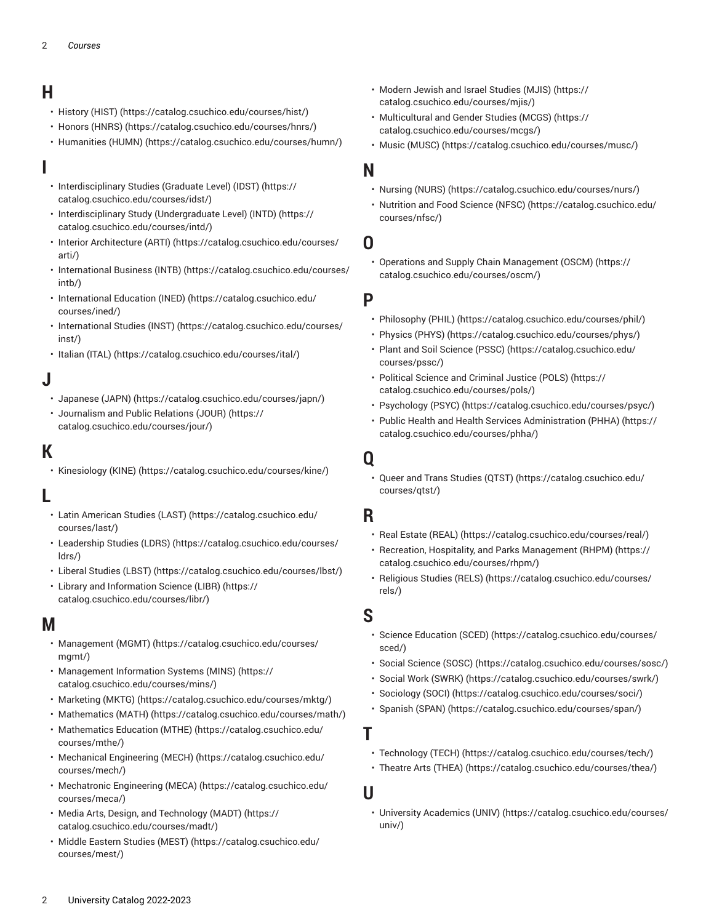## **H**

- [History](https://catalog.csuchico.edu/courses/hist/) (HIST) (<https://catalog.csuchico.edu/courses/hist/>)
- [Honors \(HNRS\)](https://catalog.csuchico.edu/courses/hnrs/) ([https://catalog.csuchico.edu/courses/hnrs/\)](https://catalog.csuchico.edu/courses/hnrs/)
- [Humanities \(HUMN\) \(https://catalog.csuchico.edu/courses/humn/\)](https://catalog.csuchico.edu/courses/humn/)

## **I**

- [Interdisciplinary](https://catalog.csuchico.edu/courses/idst/) Studies (Graduate Level) (IDST) [\(https://](https://catalog.csuchico.edu/courses/idst/) [catalog.csuchico.edu/courses/idst/](https://catalog.csuchico.edu/courses/idst/))
- [Interdisciplinary](https://catalog.csuchico.edu/courses/intd/) Study (Undergraduate Level) (INTD) ([https://](https://catalog.csuchico.edu/courses/intd/) [catalog.csuchico.edu/courses/intd/](https://catalog.csuchico.edu/courses/intd/))
- Interior [Architecture](https://catalog.csuchico.edu/courses/arti/) (ARTI) ([https://catalog.csuchico.edu/courses/](https://catalog.csuchico.edu/courses/arti/) [arti/](https://catalog.csuchico.edu/courses/arti/))
- [International](https://catalog.csuchico.edu/courses/intb/) Business (INTB) [\(https://catalog.csuchico.edu/courses/](https://catalog.csuchico.edu/courses/intb/) [intb/](https://catalog.csuchico.edu/courses/intb/))
- [International](https://catalog.csuchico.edu/courses/ined/) Education (INED) ([https://catalog.csuchico.edu/](https://catalog.csuchico.edu/courses/ined/) [courses/ined/\)](https://catalog.csuchico.edu/courses/ined/)
- [International Studies \(INST\)](https://catalog.csuchico.edu/courses/inst/) ([https://catalog.csuchico.edu/courses/](https://catalog.csuchico.edu/courses/inst/) [inst/\)](https://catalog.csuchico.edu/courses/inst/)
- [Italian](https://catalog.csuchico.edu/courses/ital/) (ITAL) [\(https://catalog.csuchico.edu/courses/ital/](https://catalog.csuchico.edu/courses/ital/))

# **J**

- [Japanese](https://catalog.csuchico.edu/courses/japn/) (JAPN) [\(https://catalog.csuchico.edu/courses/japn/\)](https://catalog.csuchico.edu/courses/japn/)
- [Journalism and Public Relations \(JOUR\)](https://catalog.csuchico.edu/courses/jour/) ([https://](https://catalog.csuchico.edu/courses/jour/) [catalog.csuchico.edu/courses/jour/](https://catalog.csuchico.edu/courses/jour/))

## **K**

• [Kinesiology \(KINE\) \(https://catalog.csuchico.edu/courses/kine/](https://catalog.csuchico.edu/courses/kine/))

## **L**

- Latin [American](https://catalog.csuchico.edu/courses/last/) Studies (LAST) ([https://catalog.csuchico.edu/](https://catalog.csuchico.edu/courses/last/) [courses/last/\)](https://catalog.csuchico.edu/courses/last/)
- [Leadership Studies \(LDRS\)](https://catalog.csuchico.edu/courses/ldrs/) ([https://catalog.csuchico.edu/courses/](https://catalog.csuchico.edu/courses/ldrs/) [ldrs/\)](https://catalog.csuchico.edu/courses/ldrs/)
- [Liberal Studies \(LBST\) \(https://catalog.csuchico.edu/courses/lbst/](https://catalog.csuchico.edu/courses/lbst/))
- Library and [Information](https://catalog.csuchico.edu/courses/libr/) Science (LIBR) ([https://](https://catalog.csuchico.edu/courses/libr/) [catalog.csuchico.edu/courses/libr/\)](https://catalog.csuchico.edu/courses/libr/)

## **M**

- [Management](https://catalog.csuchico.edu/courses/mgmt/) (MGMT) ([https://catalog.csuchico.edu/courses/](https://catalog.csuchico.edu/courses/mgmt/) [mgmt/\)](https://catalog.csuchico.edu/courses/mgmt/)
- [Management Information Systems \(MINS\)](https://catalog.csuchico.edu/courses/mins/) ([https://](https://catalog.csuchico.edu/courses/mins/) [catalog.csuchico.edu/courses/mins/](https://catalog.csuchico.edu/courses/mins/))
- [Marketing](https://catalog.csuchico.edu/courses/mktg/) (MKTG) [\(https://catalog.csuchico.edu/courses/mktg/\)](https://catalog.csuchico.edu/courses/mktg/)
- [Mathematics](https://catalog.csuchico.edu/courses/math/) (MATH) [\(https://catalog.csuchico.edu/courses/math/\)](https://catalog.csuchico.edu/courses/math/)
- [Mathematics](https://catalog.csuchico.edu/courses/mthe/) Education (MTHE) ([https://catalog.csuchico.edu/](https://catalog.csuchico.edu/courses/mthe/) [courses/mthe/\)](https://catalog.csuchico.edu/courses/mthe/)
- [Mechanical Engineering \(MECH\)](https://catalog.csuchico.edu/courses/mech/) ([https://catalog.csuchico.edu/](https://catalog.csuchico.edu/courses/mech/) [courses/mech/](https://catalog.csuchico.edu/courses/mech/))
- [Mechatronic](https://catalog.csuchico.edu/courses/meca/) Engineering (MECA) ([https://catalog.csuchico.edu/](https://catalog.csuchico.edu/courses/meca/) [courses/meca/](https://catalog.csuchico.edu/courses/meca/))
- Media Arts, Design, and [Technology](https://catalog.csuchico.edu/courses/madt/) (MADT) [\(https://](https://catalog.csuchico.edu/courses/madt/) [catalog.csuchico.edu/courses/madt/](https://catalog.csuchico.edu/courses/madt/))
- [Middle Eastern Studies \(MEST\) \(https://catalog.csuchico.edu/](https://catalog.csuchico.edu/courses/mest/) [courses/mest/](https://catalog.csuchico.edu/courses/mest/))
- [Modern Jewish and Israel Studies \(MJIS\) \(https://](https://catalog.csuchico.edu/courses/mjis/) [catalog.csuchico.edu/courses/mjis/](https://catalog.csuchico.edu/courses/mjis/))
- [Multicultural and Gender Studies \(MCGS\)](https://catalog.csuchico.edu/courses/mcgs/) ([https://](https://catalog.csuchico.edu/courses/mcgs/) [catalog.csuchico.edu/courses/mcgs/\)](https://catalog.csuchico.edu/courses/mcgs/)
- Music [\(MUSC\)](https://catalog.csuchico.edu/courses/musc/) ([https://catalog.csuchico.edu/courses/musc/\)](https://catalog.csuchico.edu/courses/musc/)

## **N**

- [Nursing \(NURS\)](https://catalog.csuchico.edu/courses/nurs/) (<https://catalog.csuchico.edu/courses/nurs/>)
- [Nutrition](https://catalog.csuchico.edu/courses/nfsc/) and Food Science (NFSC) [\(https://catalog.csuchico.edu/](https://catalog.csuchico.edu/courses/nfsc/) [courses/nfsc/](https://catalog.csuchico.edu/courses/nfsc/))

#### **O**

• [Operations and Supply Chain Management \(OSCM\) \(https://](https://catalog.csuchico.edu/courses/oscm/) [catalog.csuchico.edu/courses/oscm/\)](https://catalog.csuchico.edu/courses/oscm/)

#### **P**

- [Philosophy \(PHIL\)](https://catalog.csuchico.edu/courses/phil/) ([https://catalog.csuchico.edu/courses/phil/\)](https://catalog.csuchico.edu/courses/phil/)
- [Physics](https://catalog.csuchico.edu/courses/phys/) (PHYS) [\(https://catalog.csuchico.edu/courses/phys/](https://catalog.csuchico.edu/courses/phys/))
- Plant and Soil [Science](https://catalog.csuchico.edu/courses/pssc/) (PSSC) ([https://catalog.csuchico.edu/](https://catalog.csuchico.edu/courses/pssc/) [courses/pssc/\)](https://catalog.csuchico.edu/courses/pssc/)
- Political Science and [Criminal](https://catalog.csuchico.edu/courses/pols/) Justice (POLS) [\(https://](https://catalog.csuchico.edu/courses/pols/) [catalog.csuchico.edu/courses/pols/](https://catalog.csuchico.edu/courses/pols/))
- [Psychology](https://catalog.csuchico.edu/courses/psyc/) (PSYC) ([https://catalog.csuchico.edu/courses/psyc/\)](https://catalog.csuchico.edu/courses/psyc/)
- Public Health and Health Services [Administration](https://catalog.csuchico.edu/courses/phha/) (PHHA) [\(https://](https://catalog.csuchico.edu/courses/phha/) [catalog.csuchico.edu/courses/phha/](https://catalog.csuchico.edu/courses/phha/))

#### **Q**

• Queer and Trans [Studies](https://catalog.csuchico.edu/courses/qtst/) (QTST) [\(https://catalog.csuchico.edu/](https://catalog.csuchico.edu/courses/qtst/) [courses/qtst/\)](https://catalog.csuchico.edu/courses/qtst/)

#### **R**

- [Real Estate \(REAL\)](https://catalog.csuchico.edu/courses/real/) (<https://catalog.csuchico.edu/courses/real/>)
- Recreation, Hospitality, and Parks [Management](https://catalog.csuchico.edu/courses/rhpm/) (RHPM) [\(https://](https://catalog.csuchico.edu/courses/rhpm/) [catalog.csuchico.edu/courses/rhpm/\)](https://catalog.csuchico.edu/courses/rhpm/)
- [Religious Studies \(RELS\) \(https://catalog.csuchico.edu/courses/](https://catalog.csuchico.edu/courses/rels/) [rels/\)](https://catalog.csuchico.edu/courses/rels/)

## **S**

- Science [Education](https://catalog.csuchico.edu/courses/sced/) (SCED) ([https://catalog.csuchico.edu/courses/](https://catalog.csuchico.edu/courses/sced/) [sced/\)](https://catalog.csuchico.edu/courses/sced/)
- Social [Science](https://catalog.csuchico.edu/courses/sosc/) (SOSC) [\(https://catalog.csuchico.edu/courses/sosc/\)](https://catalog.csuchico.edu/courses/sosc/)
- Social Work [\(SWRK\) \(https://catalog.csuchico.edu/courses/swrk/](https://catalog.csuchico.edu/courses/swrk/))
- [Sociology \(SOCI\)](https://catalog.csuchico.edu/courses/soci/) ([https://catalog.csuchico.edu/courses/soci/\)](https://catalog.csuchico.edu/courses/soci/)
- [Spanish](https://catalog.csuchico.edu/courses/span/) (SPAN) ([https://catalog.csuchico.edu/courses/span/\)](https://catalog.csuchico.edu/courses/span/)

#### **T**

- [Technology](https://catalog.csuchico.edu/courses/tech/) (TECH) [\(https://catalog.csuchico.edu/courses/tech/\)](https://catalog.csuchico.edu/courses/tech/)
- [Theatre](https://catalog.csuchico.edu/courses/thea/) Arts (THEA) ([https://catalog.csuchico.edu/courses/thea/\)](https://catalog.csuchico.edu/courses/thea/)

#### **U**

• University [Academics](https://catalog.csuchico.edu/courses/univ/) (UNIV) ([https://catalog.csuchico.edu/courses/](https://catalog.csuchico.edu/courses/univ/) [univ/\)](https://catalog.csuchico.edu/courses/univ/)